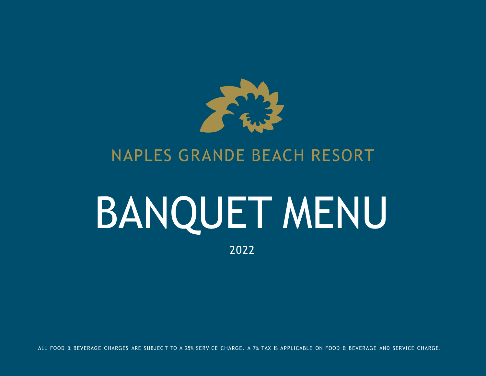

### NAPLES GRANDE BEACH RESORT

# BANQUET MENU

2022

ALL FOOD & BEVERAGE CHARGES ARE SUBJEC T TO A 25% SERVICE CHARGE. A 7% TAX IS APPLICABLE ON FOOD & BEVERAGE AND SERVICE CHARGE.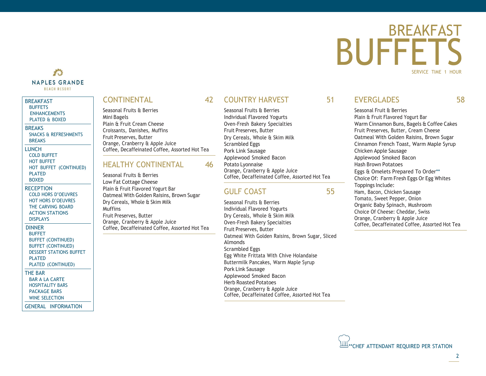### 美生 **NAPLES GRANDE BEACH RESORT**

### **BREAKFAST [BUFFETS](#page-1-0)** [ENHANCEMENTS](#page-2-0) [PLATED](#page-3-0) & BOXED **BREAKS** SNACKS & [REFRESHMENTS](#page-4-0)

**[BREAKS](#page-5-0)** LUNCH COLD [BUFFET](#page-6-0) HOT [BUFFET](#page-7-0) HOT BUFFET [\(CONTINUED\)](#page-8-0) [PLATED](#page-9-0) [BOXED](#page-10-0)

**RECEPTION** COLD HORS [D'OEUVRES](#page-11-0) HOT HORS [D'OEUVRES](#page-12-0) THE [CARVING](#page-13-0) BOARD [ACTION STATIONS](#page-14-0) [DISPLAYS](#page-15-0)

DINNER **[BUFFET](#page-16-0)** BUFFET [\(CONTINUED\)](#page-17-0) BUFFET [\(CONTINUED\)](#page-19-0) DESSERT [STATIONS](#page-19-0) BUFFET **[PLATED](#page-20-0)** PLATED [\(CONTINUED\)](#page-21-0)

THE BAR [BAR A LA CARTE](#page-22-0) [HOSPITALITY](#page-23-0) BARS [PACKAGE BARS](#page-24-0)

WINE [SELECTION](#page-25-0)

GENERAL [INFORMATION](#page-26-0)

### CONTINENTAL 42

Seasonal Fruits & Berries Mini Bagels Plain & Fruit Cream Cheese Croissants, Danishes, Muffins Fruit Preserves, Butter Orange, Cranberry & Apple Juice Coffee, Decaffeinated Coffee, Assorted Hot Tea

### HEALTHY CONTINENTAL 46

Seasonal Fruits & Berries Low Fat Cottage Cheese Plain & Fruit Flavored Yogurt Bar Oatmeal With Golden Raisins, Brown Sugar Dry Cereals, Whole & Skim Milk **Muffins** Fruit Preserves, Butter Orange, Cranberry & Apple Juice Coffee, Decaffeinated Coffee, Assorted Hot Tea

### COUNTRY HARVEST 51

Seasonal Fruits & Berries Individual Flavored Yogurts Oven-Fresh Bakery Specialties Fruit Preserves, Butter Dry Cereals, Whole & Skim Milk Scrambled Eggs Pork Link Sausage Applewood Smoked Bacon Potato Lyonnaise Orange, Cranberry & Apple Juice Coffee, Decaffeinated Coffee, Assorted Hot Tea

### GULF COAST 55

Seasonal Fruits & Berries Individual Flavored Yogurts Dry Cereals, Whole & Skim Milk Oven-Fresh Bakery Specialties Fruit Preserves, Butter Oatmeal With Golden Raisins, Brown Sugar, Sliced Almonds Scrambled Eggs Egg White Frittata With Chive Holandaise Buttermilk Pancakes, Warm Maple Syrup Pork Link Sausage Applewood Smoked Bacon Herb Roasted Potatoes Orange, Cranberry & Apple Juice Coffee, Decaffeinated Coffee, Assorted Hot Tea

### EVERGLADES 58

Seasonal Fruit & Berries Plain & Fruit Flavored Yogurt Bar Warm Cinnamon Buns, Bagels & Coffee Cakes Fruit Preserves, Butter, Cream Cheese

**BUFFFT** 

Oatmeal With Golden Raisins, Brown Sugar Cinnamon French Toast, Warm Maple Syrup

BREAKFAST

<span id="page-1-0"></span>SERVICE TIME 1 HOUR

Chicken Apple Sausage Applewood Smoked Bacon

Hash Brown Potatoes

Eggs & Omelets Prepared To Order\*\* Choice Of: Farm Fresh Eggs Or Egg Whites Toppings Include:

Ham, Bacon, Chicken Sausage Tomato, Sweet Pepper, Onion Organic Baby Spinach, Mushroom Choice Of Cheese: Cheddar, Swiss Orange, Cranberry & Apple Juice Coffee, Decaffeinated Coffee, Assorted Hot Tea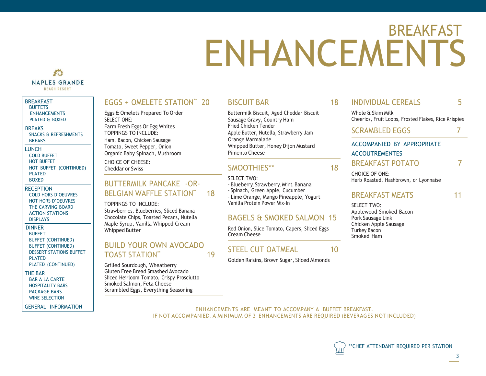## <span id="page-2-0"></span>BREAKFAST ENHANCEMENTS

### 大学 **NAPLES GRANDE BEACH RESORT**

### BREAKFAST **[BUFFETS](#page-1-0)**

[ENHANCEMENTS](#page-2-0) [PLATED](#page-3-0) & BOXED

### **BREAKS**

SNACKS & [REFRESHMENTS](#page-4-0) [BREAKS](#page-5-0)

### LUNCH

COLD [BUFFET](#page-6-0) HOT [BUFFET](#page-7-0) HOT BUFFET [\(CONTINUED\)](#page-8-0) [PLATED](#page-9-0) [BOXED](#page-10-0)

**RECEPTION** COLD HORS [D'OEUVRES](#page-11-0) HOT HORS [D'OEUVRES](#page-12-0) THE [CARVING](#page-13-0) BOARD [ACTION STATIONS](#page-14-0) [DISPLAYS](#page-15-0)

### DINNER [BUFFET](#page-16-0) BUFFET [\(CONTINUED\)](#page-17-0) BUFFET [\(CONTINUED\)](#page-19-0) DESSERT [STATIONS](#page-19-0) BUFFET [PLATED](#page-20-0)

PLATED [\(CONTINUED\)](#page-21-0)

### THE BAR

[BAR A LA CARTE](#page-22-0) [HOSPITALITY](#page-23-0) BARS [PACKAGE BARS](#page-24-0) WINE [SELECTION](#page-25-0)

GENERAL [INFORMATION](#page-26-0)

### EGGS + OMELETE STATION\*\* 20

Eggs & Omelets Prepared To Order SELECT ONE: Farm Fresh Eggs Or Egg Whites TOPPINGS TO INCLUDE: Ham, Bacon, Chicken Sausage Tomato, Sweet Pepper, Onion Organic Baby Spinach, Mushroom CHOICE OF CHEESE: Cheddar or Swiss

### BUTTERMILK PANCAKE -OR-BELGIAN WAFFLE STATION\*\* 18

TOPPINGS TO INCLUDE:

Strawberries, Blueberries, Sliced Banana Chocolate Chips, Toasted Pecans, Nutella Maple Syrup, Vanilla Whipped Cream Whipped Butter

### BUILD YOUR OWN AVOCADO TOAST STATION\*\* 19

Grilled Sourdough, Wheatberry Gluten Free Bread Smashed Avocado Sliced Heirloom Tomato, Crispy Prosciutto Smoked Salmon, Feta Cheese Scrambled Eggs, Everything Seasoning

### **BISCUIT BAR**

Buttermilk Biscuit, Aged Cheddar Biscuit Sausage Gravy, Country Ham Fried Chicken Tender Apple Butter, Nutella, Strawberry Jam Orange Marmalade Whipped Butter, Honey Dijon Mustard Pimento Cheese

### SMOOTHIES\*\* 18

SELECT TWO:

- Blueberry, Strawberry, Mint, Banana - Spinach, Green Apple, Cucumber

- Lime Orange, Mango Pineapple, Yogurt Vanilla Protein Power Mix-In

### BAGELS & SMOKED SALMON 15

Red Onion, Slice Tomato, Capers, Sliced Eggs Cream Cheese

### STEEL CUT OATMEAL 10

Golden Raisins, Brown Sugar, Sliced Almonds

| 18 | <b>INDIVIDUAL CEREALS</b>                                                |  |
|----|--------------------------------------------------------------------------|--|
|    | Whole & Skim Milk<br>Cheerios, Fruit Loops, Frosted Flakes, Rice Krispie |  |
|    | <b>SCRAMBLED EGGS</b>                                                    |  |

### ACCOMPANIED BY APPROPRIATE **ACCOUTREMENTES**

### BREAKFAST POTATO 7

CHOICE OF ONE: Herb Roasted, Hashbrown, or Lyonnaise

### BREAKFAST MEATS 11

Krispies

SELECT TWO: Applewood Smoked Bacon Pork Sausage Link Chicken Apple Sausage Turkey Bacon Smoked Ham

ENHANCEMENTS ARE MEANT TO ACCOMPANY A BUFFET BREAKFAST. IF NOT ACCOMPANIED, A MINIMUM OF 3 ENHANCEMENTS ARE REQUIRED (BEVERAGES NOT INCLUDED)

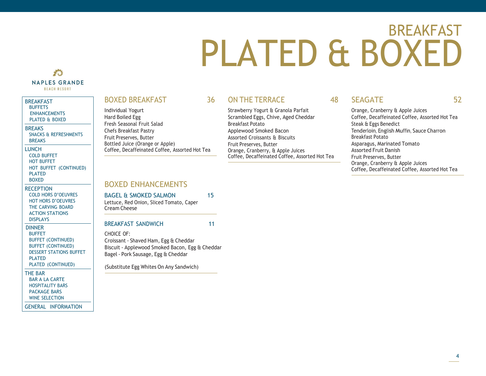## <span id="page-3-0"></span>BREAKFAST PLATED & BOXED

### 香 **NAPLES GRANDE BEACH RESORT**

### **BREAKFAST**

**[BUFFETS](#page-1-0)** [ENHANCEMENTS](#page-2-0) [PLATED](#page-3-0) & BOXED

### **BREAKS**

SNACKS & [REFRESHMENTS](#page-4-0) [BREAKS](#page-5-0)

- LUNCH
- COLD [BUFFET](#page-6-0) HOT [BUFFET](#page-7-0) HOT BUFFET [\(CONTINUED\)](#page-8-0) [PLATED](#page-9-0)
- [BOXED](#page-10-0)

**RECEPTION** COLD HORS [D'OEUVRES](#page-11-0) HOT HORS [D'OEUVRES](#page-12-0) THE [CARVING](#page-13-0) BOARD [ACTION STATIONS](#page-14-0) [DISPLAYS](#page-15-0)

### DINNER

[BUFFET](#page-16-0) BUFFET [\(CONTINUED\)](#page-17-0) BUFFET [\(CONTINUED\)](#page-19-0) DESSERT [STATIONS](#page-19-0) BUFFET [PLATED](#page-20-0) PLATED [\(CONTINUED\)](#page-21-0)

### THE BAR

[BAR A LA CARTE](#page-22-0) [HOSPITALITY](#page-23-0) BARS [PACKAGE BARS](#page-24-0) WINE [SELECTION](#page-25-0)

GENERAL [INFORMATION](#page-26-0)

### BOXED BREAKFAST 36

Individual Yogurt Hard Boiled Egg Fresh Seasonal Fruit Salad Chefs Breakfast Pastry Fruit Preserves, Butter Bottled Juice (Orange or Apple) Coffee, Decaffeinated Coffee, Assorted Hot Tea

### ON THE TERRACE 48

Strawberry Yogurt & Granola Parfait Scrambled Eggs, Chive, Aged Cheddar Breakfast Potato Applewood Smoked Bacon Assorted Croissants & Biscuits Fruit Preserves, Butter Orange, Cranberry, & Apple Juices Coffee, Decaffeinated Coffee, Assorted Hot Tea

### SEAGATE 52

Orange, Cranberry & Apple Juices Coffee, Decaffeinated Coffee, Assorted Hot Tea Steak & Eggs Benedict Tenderloin, English Muffin, Sauce Charron Breakfast Potato Asparagus, Marinated Tomato Assorted Fruit Danish Fruit Preserves, Butter Orange, Cranberry & Apple Juices Coffee, Decaffeinated Coffee, Assorted Hot Tea

### BOXED ENHANCEMENTS

### BAGEL & SMOKED SALMON 15

Lettuce, Red Onion, Sliced Tomato, Caper Cream Cheese

### BREAKFAST SANDWICH 11

CHOICE OF: Croissant - Shaved Ham, Egg & Cheddar Biscuit - Applewood Smoked Bacon, Egg & Cheddar Bagel - Pork Sausage, Egg & Cheddar

(Substitute Egg Whites On Any Sandwich)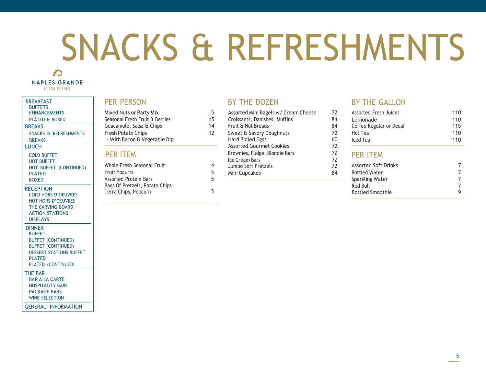# <span id="page-4-0"></span>SNACKS & REFRESHMENTS

### 香 **NAPLES GRANDE BEACH RESORT**

### BREAKFAST **BUFFFTS**

[PLATED](#page-3-0) & BOXED

### **BREAKS**

**[BREAKS](#page-5-0)** 

### **LUNCH**

COLD [BUFFET](#page-6-0) HOT [BUFFET](#page-7-0) HOT BUFFET [\(CONTINUED\)](#page-8-0) [PLATED](#page-9-0) [BOXED](#page-10-0)

### **RECEPTION**

COLD HORS [D'OEUVRES](#page-11-0) HOT HORS [D'OEUVRES](#page-12-0) THE [CARVING](#page-13-0) BOARD [ACTION STATIONS](#page-14-0) [DISPLAYS](#page-15-0)

### DINNER

[BUFFET](#page-16-0) BUFFET [\(CONTINUED\)](#page-17-0) BUFFET [\(CONTINUED\)](#page-19-0) DESSERT [STATIONS](#page-19-0) BUFFET [PLATED](#page-20-0) PLATED [\(CONTINUED\)](#page-21-0)

### THE BAR

[BAR A LA CARTE](#page-22-0) [HOSPITALITY](#page-23-0) BARS [PACKAGE BARS](#page-24-0)

WINE [SELECTION](#page-25-0)

GENERAL [INFORMATION](#page-26-0)

Seasonal Fresh Fruit & Berries Guacamole, Salsa & Chips - With Bacon & Vegetable Dip Hard Boiled Eggs

| Whole Fresh Seasonal Fruit     |   |
|--------------------------------|---|
| <b>Fruit Yogurts</b>           | 5 |
| Assorted Protein Bars          | 5 |
| Bags Of Pretzels, Potato Chips |   |
| Terra Chips, Popcorn           | 5 |
|                                |   |

### PER PERSON BY THE DOZEN BY THE GALLON

- Croissants, Danishes, Muffins Fruit & Nut Breads
- PER ITEM Brownies, Fudge, Blondie Bars 72<br>Ice Cream Bars 72 Assorted Gourmet Cookies
	- Ice Cream Bars 72<br>
	Jumbo Soft Pretzels 72 4 Jumbo Soft Pretzels<br>5 Mini Cuncakes
		-
	-

15 14

[ENHANCEMENTS](#page-2-0) Mixed Nuts or Party Mix 5 Assorted Mini Bagels w/ Cream Cheese 72 Assorted Fresh Juices 110 Lemonade Coffee Regular or Decaf 110 115 SNACKS & [REFRESHMENTS](#page-4-0) Fresh Potato Chips **Francisco Chips 12** Sweet & Savory Doughnuts 72 Hot Tea 110 Iced Tea 110

### PER ITEM

84 84

60 72

| Whole Fresh Seasonal Fruit<br>Fruit Yogurts            | <b>ICC CICAILIDAIS</b><br>Jumbo Soft Pretzels<br>Mini Cupcakes | 84 | <b>Assorted Soft Drinks</b><br><b>Bottled Water</b> |  |
|--------------------------------------------------------|----------------------------------------------------------------|----|-----------------------------------------------------|--|
| Assorted Protein Bars                                  |                                                                |    | Sparkling Water                                     |  |
| Bags Of Pretzels, Potato Chips<br>Terra Chips, Popcorn |                                                                |    | Red Bull<br><b>Bottled Smoothie</b>                 |  |
|                                                        |                                                                |    |                                                     |  |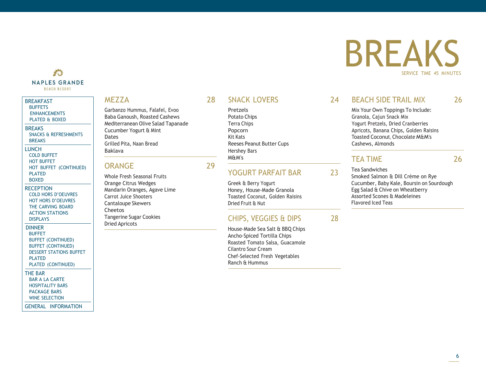### 香 **NAPLES GRANDE BEACH RESORT**

### **BREAKFAST [BUFFETS](#page-1-0)** [ENHANCEMENTS](#page-2-0) [PLATED](#page-3-0) & BOXED **BREAKS** SNACKS & [REFRESHMENTS](#page-4-0) **[BREAKS](#page-5-0) LUNCH** COLD [BUFFET](#page-6-0)

HOT [BUFFET](#page-7-0) HOT BUFFET [\(CONTINUED\)](#page-8-0) [PLATED](#page-9-0) [BOXED](#page-10-0)

**RECEPTION** COLD HORS [D'OEUVRES](#page-11-0) HOT HORS [D'OEUVRES](#page-12-0) THE [CARVING](#page-13-0) BOARD [ACTION STATIONS](#page-14-0) [DISPLAYS](#page-15-0)

### DINNER **[BUFFET](#page-16-0)** BUFFET [\(CONTINUED\)](#page-17-0) BUFFET [\(CONTINUED\)](#page-19-0) DESSERT [STATIONS](#page-19-0) BUFFET [PLATED](#page-20-0)

PLATED [\(CONTINUED\)](#page-21-0)

### THE BAR

[BAR A LA CARTE](#page-22-0) [HOSPITALITY](#page-23-0) BARS [PACKAGE BARS](#page-24-0) WINE [SELECTION](#page-25-0)

### GENERAL [INFORMATION](#page-26-0)

Garbanzo Hummus, Falafel, Evoo **Pretzels** Pretzels Mix Your Own Toppings To Include: Baba Ganoush, Roasted Cashews **Potato Chips** Potato Chips Granola, Cajun Snack Mix Mediterranean Olive Salad Tapanade Terra Chips Terra Chips Yogurt Pretzels, Dried Cranberries Dates Kit Kats Toasted Coconut, Chocolate M&M's Grilled Pita, Naan Bread **Reeses Peanut Butter Cups** Cashews, Almonds Cashews, Almonds Baklava **Hershey Bars Hershey Bars** 

### ORANGE 29

Whole Fresh Seasonal Fruits Orange Citrus Wedges Mandarin Oranges, Agave Lime Carrot Juice Shooters Cantaloupe Skewers Cheetos Tangerine Sugar Cookies Dried Apricots

M&M's

### YOGURT PARFAIT BAR 23

Greek & Berry Yogurt Honey, House-Made Granola Toasted Coconut, Golden Raisins Dried Fruit & Nut

### CHIPS, VEGGIES & DIPS 28

House-Made Sea Salt & BBQ Chips Ancho-Spiced Tortilla Chips Roasted Tomato Salsa, Guacamole Cilantro Sour Cream Chef-Selected Fresh Vegetables Ranch & Hummus

## BREAKS SERVICE TIME 45 MINUTES

### MEZZA 28 SNACK LOVERS 24 BEACH SIDE TRAIL MIX 26

<span id="page-5-0"></span>

Cucumber Yogurt & Mint Popcorn Apricots, Banana Chips, Golden Raisins

### TEA TIME 26

Tea Sandwiches Smoked Salmon & Dill Crème on Rye Cucumber, Baby Kale, Boursin on Sourdough Egg Salad & Chive on Wheatberry Assorted Scones & Madeleines Flavored Iced Teas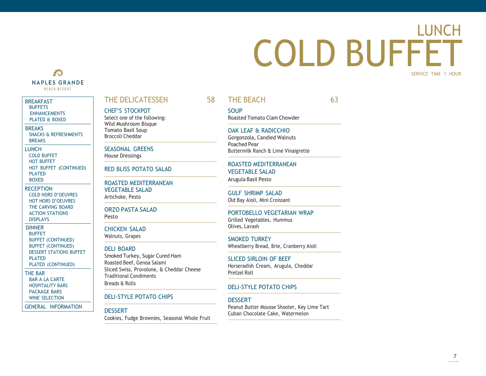### LUNCH COLD BUFFET SERVICE TIME 1 HOUR

### 香 **NAPLES GRANDE BEACH RESORT**

### BREAKFAST **[BUFFETS](#page-1-0)**

[ENHANCEMENTS](#page-2-0) [PLATED](#page-3-0) & BOXED

### **BREAKS**

SNACKS & [REFRESHMENTS](#page-4-0) [BREAKS](#page-5-0)

LUNCH COLD [BUFFET](#page-6-0) HOT [BUFFET](#page-7-0) HOT BUFFET [\(CONTINUED\)](#page-8-0) [PLATED](#page-9-0) [BOXED](#page-10-0)

**RECEPTION** COLD HORS [D'OEUVRES](#page-11-0) HOT HORS [D'OEUVRES](#page-12-0) THE [CARVING](#page-13-0) BOARD [ACTION STATIONS](#page-14-0) [DISPLAYS](#page-15-0)

DINNER [BUFFET](#page-16-0) BUFFET [\(CONTINUED\)](#page-17-0) BUFFET [\(CONTINUED\)](#page-19-0) DESSERT [STATIONS](#page-19-0) BUFFET [PLATED](#page-20-0) PLATED [\(CONTINUED\)](#page-21-0)

THE BAR [BAR A LA CARTE](#page-22-0) [HOSPITALITY](#page-23-0) BARS [PACKAGE BARS](#page-24-0)

WINE [SELECTION](#page-25-0)

GENERAL [INFORMATION](#page-26-0)

### <span id="page-6-0"></span>THE DELICATESSEN 58

CHEF'S STOCKPOT Select one of the following: Wild Mushroom Bisque Tomato Basil Soup Broccoli Cheddar

SEASONAL GREENS House Dressings

RED BLISS POTATO SALAD

ROASTED MEDITERRANEAN VEGETABLE SALAD Artichoke, Pesto

ORZO PASTA SALAD Pesto

CHICKEN SALAD Walnuts, Grapes

### DELI BOARD

Smoked Turkey, Sugar Cured Ham Roasted Beef, Genoa Salami Sliced Swiss, Provolone, & Cheddar Cheese Traditional Condiments Breads & Rolls

DELI-STYLE POTATO CHIPS

### DESSERT

Cookies, Fudge Brownies, Seasonal Whole Fruit

THE BEACH 63

**SOUP** Roasted Tomato Clam Chowder

### OAK LEAF & RADICCHIO Gorgonzola, Candied Walnuts

Poached Pear Buttermilk Ranch & Lime Vinaigrette

ROASTED MEDITERRANEAN VEGETABLE SALAD Arugula Basil Pesto

GULF SHRIMP SALAD Old Bay Aioli, Mini Croissant

PORTOBELLO VEGETARIAN WRAP Grilled Vegetables, Hummus Olives, Lavash

SMOKED TURKEY Wheatberry Bread, Brie, Cranberry Aioli

SLICED SIRLOIN OF BEEF Horseradish Cream, Arugula, Cheddar Pretzel Roll

### DELI-STYLE POTATO CHIPS

**DESSERT** 

Peanut Butter Mousse Shooter, Key Lime Tart Cuban Chocolate Cake, Watermelon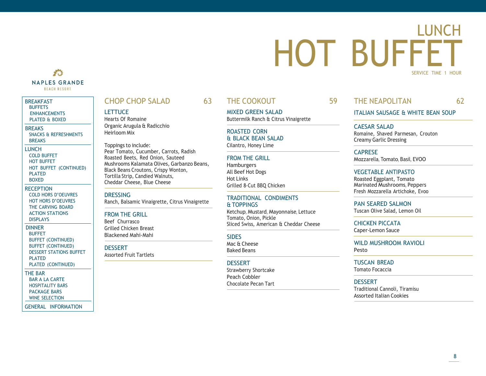### LUNCH HOT BUFFET SERVICE TIME 1 HOUR

### 香 **NAPLES GRANDE BEACH RESORT**

### **BREAKFAST [BUFFETS](#page-1-0)** [ENHANCEMENTS](#page-2-0)

[PLATED](#page-3-0) & BOXED

### **BREAKS** SNACKS & [REFRESHMENTS](#page-4-0)

[BREAKS](#page-5-0) LUNCH COLD [BUFFET](#page-6-0) HOT [BUFFET](#page-7-0) HOT BUFFET [\(CONTINUED\)](#page-8-0) [PLATED](#page-9-0) [BOXED](#page-10-0)

### **RECEPTION** COLD HORS [D'OEUVRES](#page-11-0) HOT HORS [D'OEUVRES](#page-12-0) THE [CARVING](#page-13-0) BOARD [ACTION STATIONS](#page-14-0) [DISPLAYS](#page-15-0)

DINNER [BUFFET](#page-16-0) BUFFET [\(CONTINUED\)](#page-17-0) BUFFET [\(CONTINUED\)](#page-19-0) DESSERT [STATIONS](#page-19-0) BUFFET [PLATED](#page-20-0) PLATED [\(CONTINUED\)](#page-21-0)

### THE BAR

[BAR A LA CARTE](#page-22-0) [HOSPITALITY](#page-23-0) BARS [PACKAGE BARS](#page-24-0) WINE [SELECTION](#page-25-0)

### GENERAL [INFORMATION](#page-26-0)

### CHOP CHOP SALAD 63

### **LETTUCE**

Hearts Of Romaine Organic Arugula & Radicchio Heirloom Mix

### Toppings to include: Pear Tomato, Cucumber, Carrots, Radish Roasted Beets, Red Onion, Sauteed

Mushrooms Kalamata Olives, Garbanzo Beans, Black Beans Croutons, Crispy Wonton, Tortilla Strip, Candied Walnuts, Cheddar Cheese, Blue Cheese

### **DRESSING** Ranch, Balsamic Vinaigrette, Citrus Vinaigrette

### FROM THE GRILL

Beef Churrasco Grilled Chicken Breast Blackened Mahi-Mahi

### DESSERT

Assorted Fruit Tartlets

### THE COOKOUT 59

MIXED GREEN SALAD Buttermilk Ranch & Citrus Vinaigrette

### ROASTED CORN & BLACK BEAN SALAD Cilantro, Honey Lime

### FROM THE GRILL

**Hamburgers** All Beef Hot Dogs Hot Links Grilled 8-Cut BBQ Chicken

### TRADITIONAL CONDIMENTS & TOPPINGS

Ketchup, Mustard, Mayonnaise, Lettuce Tomato, Onion, Pickle Sliced Swiss, American & Cheddar Cheese

### **SIDES**

Mac & Cheese Baked Beans

### **DESSERT**

Strawberry Shortcake Peach Cobbler Chocolate Pecan Tart

<span id="page-7-0"></span>THE NEAPOLITAN 62

ITALIAN SAUSAGE & WHITE BEAN SOUP

CAESAR SALAD Romaine, Shaved Parmesan, Crouton Creamy Garlic Dressing

CAPRESE Mozzarella, Tomato, Basil, EVOO

### VEGETABLE ANTIPASTO

Roasted Eggplant, Tomato Marinated Mushrooms, Peppers Fresh Mozzarella Artichoke, Evoo

PAN SEARED SALMON Tuscan Olive Salad, Lemon Oil

CHICKEN PICCATA Caper-Lemon Sauce

WILD MUSHROOM RAVIOLL Pesto

TUSCAN BREAD Tomato Focaccia

### DESSERT

Traditional Cannoli, Tiramisu Assorted Italian Cookies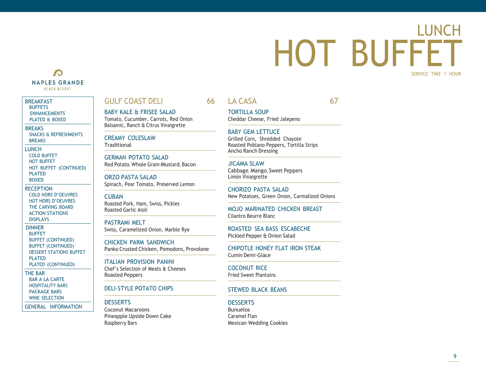### LUNCH HOT BUFFET SERVICE TIME 1 HOUR

### 香 **NAPLES GRANDE BEACH RESORT**

### **BREAKFAST [BUFFETS](#page-1-0)** [ENHANCEMENTS](#page-2-0)

[PLATED](#page-3-0) & BOXED

**BREAKS** SNACKS & [REFRESHMENTS](#page-4-0)

[BREAKS](#page-5-0) LUNCH COLD [BUFFET](#page-6-0) HOT [BUFFET](#page-7-0) HOT BUFFET [\(CONTINUED\)](#page-8-0) [PLATED](#page-9-0)

[BOXED](#page-10-0)

**RECEPTION** COLD HORS [D'OEUVRES](#page-11-0) HOT HORS [D'OEUVRES](#page-12-0) THE [CARVING](#page-13-0) BOARD [ACTION STATIONS](#page-14-0) [DISPLAYS](#page-15-0)

DINNER [BUFFET](#page-16-0) BUFFET [\(CONTINUED\)](#page-17-0) BUFFET [\(CONTINUED\)](#page-19-0) DESSERT [STATIONS](#page-19-0) BUFFET [PLATED](#page-20-0) PLATED [\(CONTINUED\)](#page-21-0)

THE BAR [BAR A LA CARTE](#page-22-0)

[HOSPITALITY](#page-23-0) BARS [PACKAGE BARS](#page-24-0) WINE [SELECTION](#page-25-0)

GENERAL [INFORMATION](#page-26-0)

### <span id="page-8-0"></span>**GULF COAST DELI**

BABY KALE & FRISEE SALAD Tomato, Cucumber, Carrots, Red Onion Balsamic, Ranch & Citrus Vinaigrette

CREAMY COLESLAW Traditional

GERMAN POTATO SALAD Red Potato, Whole Grain Mustard, Bacon

ORZO PASTA SALAD Spinach, Pear Tomato, Preserved Lemon

**CUBAN** Roasted Pork, Ham, Swiss, Pickles Roasted Garlic Aioli

PASTRAMI MELT Swiss, Caramelized Onion, Marble Rye

CHICKEN PARM SANDWICH Panko Crusted Chicken, Pomodoro, Provolone

ITALIAN PROVISION PANINI Chef's Selection of Meats & Cheeses Roasted Peppers

### DELI-STYLE POTATO CHIPS

### **DESSERTS**

Coconut Macaroons Pineapple Upside Down Cake Raspberry Bars

### 66 LA CASA 67

TORTILLA SOUP Cheddar Cheese, Fried Jalepeno

### BABY GEM LETTUCE

Grilled Corn, Shredded Chayote Roasted Poblano Peppers, Tortilla Strips Ancho Ranch Dressing

JICAMA SLAW Cabbage, Mango, Sweet Peppers Limón Vinaigrette

CHORIZO PASTA SALAD New Potatoes, Green Onion, Carmalized Onions

MOJO MARINATED CHICKEN BREAST Cilantro Beurre Blanc

ROASTED SEA BASS ESCABECHE Pickled Pepper & Onion Salad

CHIPOTLE HONEY FLAT IRON STEAK Cumin Demi-Glace

COCONUT RICE Fried Sweet Plantains

### STEWED BLACK BEANS

### **DESSERTS** Bunuelos Caramel Flan Mexican Wedding Cookies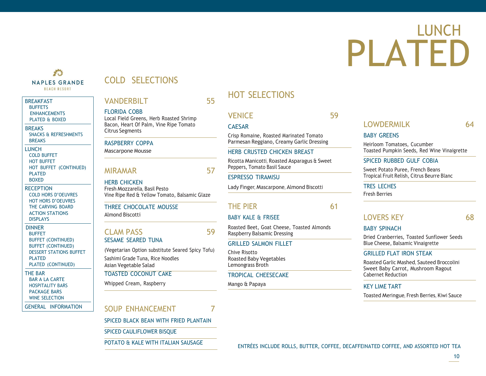# LUNCH PLATED

### <span id="page-9-0"></span>香 **BEACH RESORT**

### **BREAKFAST [BUFFETS](#page-1-0) [ENHANCEMENTS](#page-2-0)** [PLATED](#page-3-0) & BOXED

**BREAKS** 

### SNACKS & [REFRESHMENTS](#page-4-0) [BREAKS](#page-5-0)

LUNCH COLD [BUFFET](#page-6-0) HOT [BUFFET](#page-7-0) HOT BUFFET [\(CONTINUED\)](#page-8-0) [PLATED](#page-9-0) [BOXED](#page-10-0)

### **RECEPTION** COLD HORS [D'OEUVRES](#page-11-0) HOT HORS [D'OEUVRES](#page-12-0) THE [CARVING](#page-13-0) BOARD [ACTION STATIONS](#page-14-0) [DISPLAYS](#page-15-0)

DINNER **[BUFFET](#page-16-0)** BUFFET [\(CONTINUED\)](#page-17-0) BUFFET [\(CONTINUED\)](#page-19-0) DESSERT [STATIONS](#page-19-0) BUFFET PI ATFD PLATED [\(CONTINUED\)](#page-21-0)

### THE BAR [BAR A LA CARTE](#page-22-0) [HOSPITALITY](#page-23-0) BARS

[PACKAGE BARS](#page-24-0) WINE [SELECTION](#page-25-0)

GENERAL [INFORMATION](#page-26-0)

### NAPLES GRANDE COLD SELECTIONS

### VANDERBILT 55

### FLORIDA COBB

Local Field Greens, Herb Roasted Shrimp Bacon, Heart Of Palm, Vine Ripe Tomato Citrus Segments

### RASPBERRY COPPA

Mascarpone Mousse

### MIRAMAR 57

HERB CHICKEN Fresh Mozzarella, Basil Pesto Vine Ripe Red & Yellow Tomato, Balsamic Glaze

### THREE CHOCOLATE MOUSSE Almond Biscotti

### CLAM PASS 59 SESAME SEARED TUNA

(Vegetarian Option substitute Seared Spicy Tofu) Sashimi Grade Tuna, Rice Noodles Asian Vegetable Salad TOASTED COCONUT CAKE

Whipped Cream, Raspberry

### SOUP ENHANCEMENT 7

SPICED BLACK BEAN WITH FRIED PLANTAIN

SPICED CAULIFLOWER BISQUE

### HOT SELECTIONS

### VENICE 59

### CAESAR

Crisp Romaine, Roasted Marinated Tomato Parmesan Reggiano, Creamy Garlic Dressing

### HERB CRUSTED CHICKEN BREAST

Ricotta Manicotti, Roasted Asparagus & Sweet Peppers, Tomato Basil Sauce

### ESPRESSO TIRAMISU

Lady Finger, Mascarpone, Almond Biscotti

### THE PIFR 61

### BABY KALE & FRISEE

Roasted Beet, Goat Cheese, Toasted Almonds Raspberry Balsamic Dressing

### GRILLED SALMON FILLET

Chive Risotto Roasted Baby Vegetables Lemongrass Broth

### TROPICAL CHEESECAKE

Mango & Papaya

### LOWDERMILK 64

### BABY GREENS

Heirloom Tomatoes, Cucumber Toasted Pumpkin Seeds, Red Wine Vinaigrette

### SPICED RUBBED GULF COBIA

Sweet Potato Puree, French Beans Tropical Fruit Relish, Citrus Beurre Blanc

### TRES LECHES

Fresh Berries

### LOVERS KEY 68

### BABY SPINACH

Dried Cranberries, Toasted Sunflower Seeds Blue Cheese, Balsamic Vinaigrette

### GRILLED FLAT IRON STEAK

Roasted Garlic Mashed, Sauteed Broccolini Sweet Baby Carrot, Mushroom Ragout Cabernet Reduction

### KEY LIME TART

Toasted Meringue, Fresh Berries, Kiwi Sauce

POTATO & KALE WITH ITALIAN SAUSAGE ENTRÉES INCLUDE ROLLS, BUTTER, COFFEE, DECAFFEINATED COFFEE, AND ASSORTED HOT TEA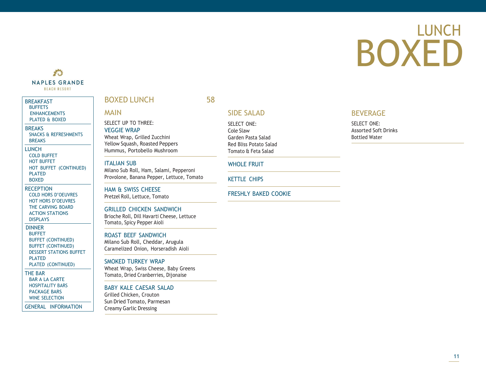# <span id="page-10-0"></span>LUNCH BOXED

### **THE NAPLES GRANDE BEACH RESORT**

### BREAKFAST **[BUFFETS](#page-1-0)**

[ENHANCEMENTS](#page-2-0) [PLATED](#page-3-0) & BOXED

### **BREAKS**

SNACKS & [REFRESHMENTS](#page-4-0) [BREAKS](#page-5-0)

LUNCH

COLD [BUFFET](#page-6-0) HOT [BUFFET](#page-7-0) HOT BUFFET [\(CONTINUED\)](#page-8-0) [PLATED](#page-9-0)

### [BOXED](#page-10-0)

**RECEPTION** COLD HORS [D'OEUVRES](#page-11-0) HOT HORS [D'OEUVRES](#page-12-0) THE [CARVING](#page-13-0) BOARD [ACTION STATIONS](#page-14-0) [DISPLAYS](#page-15-0)

### DINNER [BUFFET](#page-16-0) BUFFET [\(CONTINUED\)](#page-17-0) BUFFET [\(CONTINUED\)](#page-19-0) DESSERT [STATIONS](#page-19-0) BUFFET [PLATED](#page-20-0)

PLATED [\(CONTINUED\)](#page-21-0)

### THE BAR [BAR A LA CARTE](#page-22-0) [HOSPITALITY](#page-23-0) BARS

[PACKAGE BARS](#page-24-0) WINE [SELECTION](#page-25-0)

GENERAL [INFORMATION](#page-26-0)

### BOXED LUNCH 58

### MAIN

SELECT UP TO THREE: VEGGIE WRAP Wheat Wrap, Grilled Zucchini Yellow Squash, Roasted Peppers Hummus, Portobello Mushroom

### ITALIAN SUB

Milano Sub Roll, Ham, Salami, Pepperoni Provolone, Banana Pepper, Lettuce, Tomato

HAM & SWISS CHEESE Pretzel Roll, Lettuce, Tomato

### GRILLED CHICKEN SANDWICH

Brioche Roll, Dill Havarti Cheese, Lettuce Tomato, Spicy Pepper Aioli

### ROAST BEEF SANDWICH

Milano Sub Roll, Cheddar, Arugula Caramelized Onion, Horseradish Aioli

### SMOKED TURKEY WRAP

Wheat Wrap, Swiss Cheese, Baby Greens Tomato, Dried Cranberries, Dijonaise

### BABY KALE CAESAR SALAD

Grilled Chicken, Crouton Sun Dried Tomato, Parmesan Creamy Garlic Dressing

### SIDE SALAD

SELECT ONE: Cole Slaw Garden Pasta Salad Red Bliss Potato Salad Tomato & Feta Salad

### WHOLE FRUIT

KETTLE CHIPS

### FRESHLY BAKED COOKIE

### BEVERAGE

SELECT ONE: Assorted Soft Drinks Bottled Water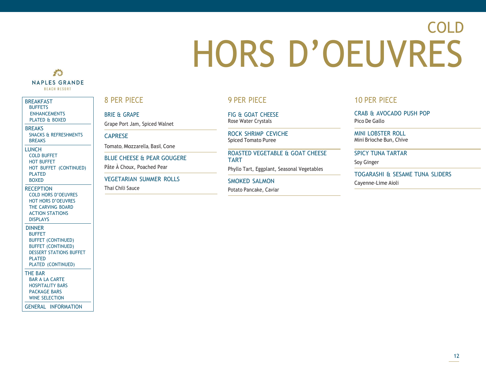# COLD HORS D'OEUVRES

### <span id="page-11-0"></span>**THE NAPLES GRANDE BEACH RESORT**

### BREAKFAST **[BUFFETS](#page-1-0)** [ENHANCEMENTS](#page-2-0)

[PLATED](#page-3-0) & BOXED

### **BREAKS** SNACKS & [REFRESHMENTS](#page-4-0)

[BREAKS](#page-5-0) LUNCH

COLD [BUFFET](#page-6-0) HOT [BUFFET](#page-7-0) HOT BUFFET [\(CONTINUED\)](#page-8-0) [PLATED](#page-9-0) [BOXED](#page-10-0)

### **RECEPTION** COLD HORS [D'OEUVRES](#page-11-0) HOT HORS [D'OEUVRES](#page-12-0)

THE [CARVING](#page-13-0) BOARD [ACTION STATIONS](#page-14-0) [DISPLAYS](#page-15-0)

### DINNER

[BUFFET](#page-16-0) BUFFET [\(CONTINUED\)](#page-17-0) BUFFET [\(CONTINUED\)](#page-19-0) DESSERT [STATIONS](#page-19-0) BUFFET [PLATED](#page-20-0) PLATED [\(CONTINUED\)](#page-21-0)

### THE BAR

[BAR A LA CARTE](#page-22-0) [HOSPITALITY](#page-23-0) BARS

[PACKAGE BARS](#page-24-0) WINE [SELECTION](#page-25-0)

GENERAL [INFORMATION](#page-26-0)

### 8 PER PIECE

BRIE & GRAPE Grape Port Jam, Spiced Walnet

### **CAPRESE**

Tomato, Mozzarella, Basil, Cone

BLUE CHEESE & PEAR GOUGERE

Pâte À Choux, Poached Pear

### VEGETARIAN SUMMER ROLLS

Thai Chili Sauce

### 9 PER PIECE

FIG & GOAT CHEESE Rose Water Crystals

ROCK SHRIMP CEVICHE Spiced Tomato Puree

### ROASTED VEGETABLE & GOAT CHEESE TART

Phyllo Tart, Eggplant, Seasonal Vegetables

SMOKED SALMON

Potato Pancake, Caviar

### 10 PER PIECE

CRAB & AVOCADO PUSH POP Pico De Gallo

MINI LOBSTER ROLL Mini Brioche Bun, Chive

### SPICY TUNA TARTAR

Soy Ginger

TOGARASHI & SESAME TUNA SLIDERS Cayenne-Lime Aioli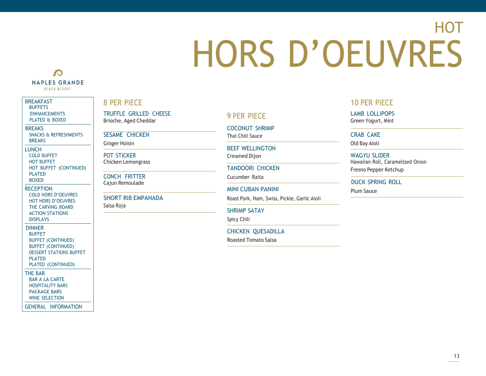# **HOT** HORS D'OEUVRES

### <span id="page-12-0"></span>**THE NAPLES GRANDE BEACH RESORT**

### BREAKFAST **[BUFFETS](#page-1-0)**

[ENHANCEMENTS](#page-2-0) [PLATED](#page-3-0) & BOXED

**BREAKS** 

SNACKS & [REFRESHMENTS](#page-4-0) [BREAKS](#page-5-0)

LUNCH COLD [BUFFET](#page-6-0) HOT [BUFFET](#page-7-0) HOT BUFFET [\(CONTINUED\)](#page-8-0) [PLATED](#page-9-0)

[BOXED](#page-10-0)

**RECEPTION** COLD HORS [D'OEUVRES](#page-11-0) HOT HORS [D'OEUVRES](#page-12-0) THE [CARVING](#page-13-0) BOARD [ACTION STATIONS](#page-14-0) [DISPLAYS](#page-15-0)

DINNER

[BUFFET](#page-16-0) BUFFET [\(CONTINUED\)](#page-17-0) BUFFET [\(CONTINUED\)](#page-19-0) DESSERT [STATIONS](#page-19-0) BUFFET [PLATED](#page-20-0)

### PLATED [\(CONTINUED\)](#page-21-0)

THE BAR [BAR A LA CARTE](#page-22-0)

[HOSPITALITY](#page-23-0) BARS [PACKAGE BARS](#page-24-0)

WINE [SELECTION](#page-25-0)

GENERAL [INFORMATION](#page-26-0)

### 8 PER PIECE

TRUFFLE GRILLED CHEESE TRUFFLE GRILLED CHEESE<br>Brioche, Aged Cheddar 9 PER PIECE

SESAME CHICKEN

Ginger Hoisin

POT STICKER Chicken Lemongrass

CONCH FRITTER Cajun Remoulade

SHORT RIB EMPANADA Salsa Roja

COCONUT SHRIMP Thai Chili Sauce

BEEF WELLINGTON Creamed Dijon

Cucumber Raita

MINI CUBAN PANINI PLUM Sauce

Roast Pork, Ham, Swiss, Pickle, Garlic Aioli

SHRIMP SATAY

Spicy Chili

CHICKEN QUESADILLA

Roasted Tomato Salsa

### 10 PER PIECE

LAMB LOLLIPOPS Green Yogurt, Mint

CRAB CAKE

Old Bay Aioli

WAGYU SLIDER Hawaiian Roll, Caramelized Onion TANDOORI CHICKEN Fresno Pepper Ketchup

DUCK SPRING ROLL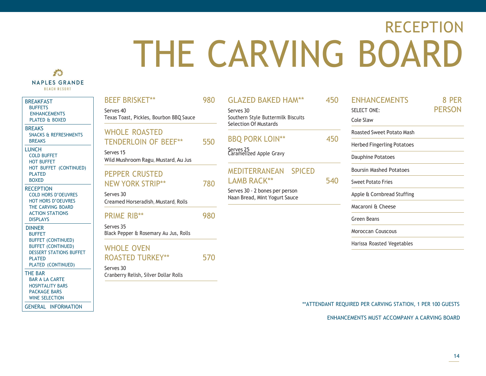# RECEPTION THE CARVING BOARD

### <span id="page-13-0"></span>香 **NAPLES GRANDE BEACH RESORT**

BREAKFAST [BUFFETS](#page-1-0)

BREAKS

[BREAKS](#page-5-0) LUNCH

[PLATED](#page-9-0) [BOXED](#page-10-0) **RECEPTION** 

[DISPLAYS](#page-15-0) DINNER [BUFFET](#page-16-0)

THE BAR

WINE [SELECTION](#page-25-0) GENERAL [INFORMATION](#page-26-0)

| <b>REAKFAST</b>                                                             | <b>BEEF BRISKET**</b>                              | 980 | <b>GLAZED BAKED HAM**</b>                                       | 450 | <b>ENHANCEMENTS</b>               | 8 PER         |
|-----------------------------------------------------------------------------|----------------------------------------------------|-----|-----------------------------------------------------------------|-----|-----------------------------------|---------------|
| <b>BUFFETS</b><br><b>ENHANCEMENTS</b>                                       | Serves <sub>40</sub>                               |     | Serves 30                                                       |     | SELECT ONE:                       | <b>PERSON</b> |
| <b>PLATED &amp; BOXED</b>                                                   | Texas Toast, Pickles, Bourbon BBQ Sauce            |     | Southern Style Buttermilk Biscuits<br>Selection Of Mustards     |     | Cole Slaw                         |               |
| <b>BREAKS</b><br><b>SNACKS &amp; REFRESHMENTS</b>                           | <b>WHOLE ROASTED</b>                               |     |                                                                 |     | <b>Roasted Sweet Potato Mash</b>  |               |
| <b>BREAKS</b><br><b>UNCH</b>                                                | <b>TENDERLOIN OF BEEF**</b>                        | 550 | <b>BBQ PORK LOIN**</b>                                          | 450 | <b>Herbed Fingerling Potatoes</b> |               |
| <b>COLD BUFFET</b><br><b>HOT BUFFET</b>                                     | Serves 15<br>Wild Mushroom Ragu, Mustard, Au Jus   |     | Serves 25<br>Caramelized Apple Gravy                            |     | <b>Dauphine Potatoes</b>          |               |
| HOT BUFFET (CONTINUED)<br><b>PLATED</b>                                     | <b>PEPPER CRUSTED</b>                              |     | <b>MEDITERRANEAN</b><br><b>SPICED</b>                           |     | <b>Boursin Mashed Potatoes</b>    |               |
| <b>BOXED</b>                                                                | <b>NEW YORK STRIP**</b>                            | 780 | <b>LAMB RACK**</b>                                              | 540 | <b>Sweet Potato Fries</b>         |               |
| <b>RECEPTION</b><br><b>COLD HORS D'OEUVRES</b><br><b>HOT HORS D'OEUVRES</b> | Serves 30<br>Creamed Horseradish, Mustard, Rolls   |     | Serves 30 - 2 bones per person<br>Naan Bread, Mint Yogurt Sauce |     | Apple & Cornbread Stuffing        |               |
| THE CARVING BOARD                                                           |                                                    |     |                                                                 |     | Macaroni & Cheese                 |               |
| <b>ACTION STATIONS</b><br><b>DISPLAYS</b>                                   | <b>PRIME RIB**</b>                                 | 980 |                                                                 |     | Green Beans                       |               |
| <b>DINNER</b><br><b>BUFFET</b>                                              | Serves 35<br>Black Pepper & Rosemary Au Jus, Rolls |     |                                                                 |     | <b>Moroccan Couscous</b>          |               |
| <b>BUFFET (CONTINUED)</b><br><b>BUFFET (CONTINUED)</b>                      | <b>WHOLE OVEN</b>                                  |     |                                                                 |     | Harissa Roasted Vegetables        |               |
| <b>DESSERT STATIONS BUFFET</b><br><b>PLATED</b>                             | <b>ROASTED TURKEY**</b>                            | 570 |                                                                 |     |                                   |               |
| PLATED (CONTINUED)                                                          | Serves 30                                          |     |                                                                 |     |                                   |               |
| <b>HE BAR</b><br><b>BAR A LA CARTE</b>                                      | Cranberry Relish, Silver Dollar Rolls              |     |                                                                 |     |                                   |               |
| <b>HOSPITALITY BARS</b><br><b>PACKAGE BARS</b>                              |                                                    |     |                                                                 |     |                                   |               |

\*\*ATTENDANT REQUIRED PER CARVING STATION, 1 PER 100 GUESTS

ENHANCEMENTS MUST ACCOMPANY A CARVING BOARD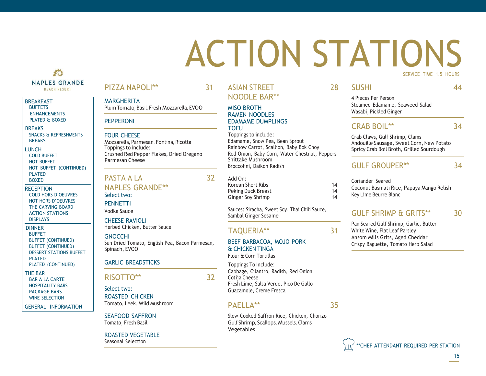## ACTION STATIONS SERVICE TIME 1.5 HOURS

### 香 **NAPLES GRANDE BEACH RESORT**

### **BREAKFAST [BUFFETS](#page-1-0)**

[ENHANCEMENTS](#page-2-0) [PLATED](#page-3-0) & BOXED

### **BREAKS** SNACKS & [REFRESHMENTS](#page-4-0) [BREAKS](#page-5-0)

LUNCH COLD [BUFFET](#page-6-0) HOT [BUFFET](#page-7-0) HOT BUFFET [\(CONTINUED\)](#page-8-0) [PLATED](#page-9-0) [BOXED](#page-10-0)

**RECEPTION** COLD HORS [D'OEUVRES](#page-11-0) HOT HORS [D'OEUVRES](#page-12-0) THE [CARVING](#page-13-0) BOARD [ACTION STATIONS](#page-14-0) [DISPLAYS](#page-15-0)

### DINNER [BUFFET](#page-16-0) BUFFET [\(CONTINUED\)](#page-17-0) BUFFET [\(CONTINUED\)](#page-19-0) DESSERT [STATIONS](#page-19-0) BUFFET **[PLATED](#page-20-0)**

PLATED [\(CONTINUED\)](#page-21-0)

THE BAR [BAR A LA CARTE](#page-22-0) [HOSPITALITY](#page-23-0) BARS [PACKAGE BARS](#page-24-0) WINE [SELECTION](#page-25-0)

GENERAL [INFORMATION](#page-26-0)

### PIZZA NAPOLI\*\* 31

**MARGHERITA** Plum Tomato, Basil, Fresh Mozzarella, EVOO

### PEPPERONI

### FOUR CHEESE

Mozzarella, Parmesan, Fontina, Ricotta Toppings to include: Parmesan Cheese

### PASTA A LA 32

### NAPLES GRANDE\*\* Select two:

**PENNETTI** Vodka Sauce

CHEESE RAVIOLI Herbed Chicken, Butter Sauce

### GNOCCHI

Sun Dried Tomato, English Pea, Bacon Parmesan, Spinach, EVOO

### GARLIC BREADSTICKS

### RISOTTO\*\* 32

Select two: ROASTED CHICKEN Tomato, Leek, Wild Mushroom

SEAFOOD SAFFRON Tomato, Fresh Basil

ROASTED VEGETABLE Seasonal Selection

### ASIAN STREET 28 NOODLE BAR\*\*

### MISO BROTH RAMEN NOODLES EDAMAME DUMPLINGS **TOFU**

Toppings to include: Edamame, Snow Pea, Bean Sprout Rainbow Carrot, Scallion, Baby Bok Choy Crushed Red Pepper Flakes, Dried Oregano Red Onion, Baby Corn, Water Chestnut, Peppers Broccolini, Daikon Radish and GULF GROUPER<sup>\*\*</sup> 34

### Add On:

| Korean Short Ribs  | 14 |
|--------------------|----|
| Peking Duck Breast | 14 |
| Ginger Soy Shrimp  | 14 |

Sauces: Siracha, Sweet Soy, Thai Chili Sauce, Sambal Ginger Sesame

### TAQUERIA\*\* 31

### BEEF BARBACOA, MOJO PORK & CHICKEN TINGA Flour & Corn Tortillas

Toppings To Include:

Cabbage, Cilantro, Radish, Red Onion Cotija Cheese Fresh Lime, Salsa Verde, Pico De Gallo Guacamole, Creme Fresca

### $PAFI I A^{**}$  35

Slow-Cooked Saffron Rice, Chicken, Chorizo Gulf Shrimp, Scallops, Mussels, Clams Vegetables

<span id="page-14-0"></span>SUSHI 44

4 Pieces Per Person Steamed Edamame, Seaweed Salad Wasabi, Pickled Ginger

### CRAB BOIL\*\* 34

Crab Claws, Gulf Shrimp, Clams Andouille Sausage, Sweet Corn, New Potato Spricy Crab Boil Broth, Grilled Sourdough

Coriander Seared Coconut Basmati Rice, Papaya Mango Relish Key Lime Beurre Blanc

### GULF SHRIMP & GRITS\*\* 30

Pan Seared Gulf Shrimp, Garlic, Butter White Wine, Flat Leaf Parsley Ansom Mills Grits, Aged Cheddar Crispy Baguette, Tomato Herb Salad

\*\*CHEF ATTENDANT REQUIRED PER STATION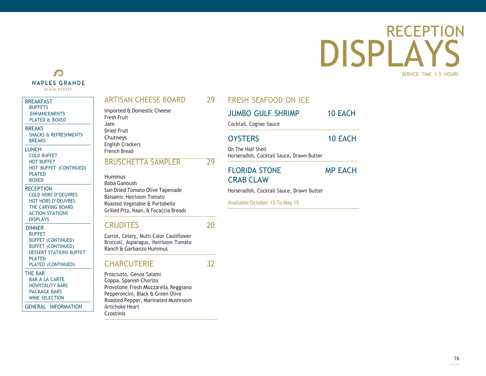**RECEPTION** 

SERVICE TIME 1.5 HOURS

# DISPLAYS

### ARTISAN CHEESE BOARD 29

Imported & Domestic Cheese Fresh Fruit Jam Dried Fruit Chutneys English Crackers French Bread

### BRUSCHETTA SAMPLER 29

Hummus Baba Ganoush Sun Dried Tomato Olive Tapenade Balsamic Heirloom Tomato Roasted Vegetable & Portobello Grilled Pita, Naan, & Focaccia Breads

### CRUDITÉS 20

Carrot, Celery, Multi-Color Cauliflower Broccoli, Asparagus, Heirloom Tomato Ranch & Garbanzo Hummus

### CHARCUTERIE 32

Prosciutto, Genoa Salami Coppa, Spanish Chorizo Provolone, Fresh Mozzarella, Reggiano Pepperoncini, Black & Green Olive Roasted Pepper, Marinated Mushroom Artichoke Heart Crostinis

FRESH SEAFOOD ON ICE

| <b>JUMBO GULF SHRIMP</b> | <b>10 EACH</b> |
|--------------------------|----------------|
| Cocktail, Cognac Sauce   |                |
| <b>OYSTERS</b>           | 10 EACH        |
| On The Half Shell        |                |

Horseradish, Cocktail Sauce, Drawn Butter FLORIDA STONE MP EACH

### CRAB CLAW

Horseradish, Cocktail Sauce, Drawn Butter

Available October 15 To May 15

LUNCH COLD [BUFFET](#page-6-0) HOT [BUFFET](#page-7-0) HOT BUFFET [\(CONTINUED\)](#page-8-0) [PLATED](#page-9-0) [BOXED](#page-10-0)

SNACKS & [REFRESHMENTS](#page-4-0)

<span id="page-15-0"></span>科 **NAPLES GRANDE BEACH RESORT** 

BREAKFAST **[BUFFETS](#page-1-0)** [ENHANCEMENTS](#page-2-0) [PLATED](#page-3-0) & BOXED

**BREAKS** 

[BREAKS](#page-5-0)

**RECEPTION** COLD HORS [D'OEUVRES](#page-11-0) HOT HORS [D'OEUVRES](#page-12-0) THE [CARVING](#page-13-0) BOARD [ACTION STATIONS](#page-14-0) [DISPLAYS](#page-15-0)

DINNER [BUFFET](#page-16-0) BUFFET [\(CONTINUED\)](#page-17-0) BUFFET [\(CONTINUED\)](#page-19-0) DESSERT [STATIONS](#page-19-0) BUFFET [PLATED](#page-20-0) PLATED [\(CONTINUED\)](#page-21-0)

THE BAR [BAR A LA CARTE](#page-22-0)

[HOSPITALITY](#page-23-0) BARS [PACKAGE BARS](#page-24-0) WINE [SELECTION](#page-25-0)

GENERAL [INFORMATION](#page-26-0)

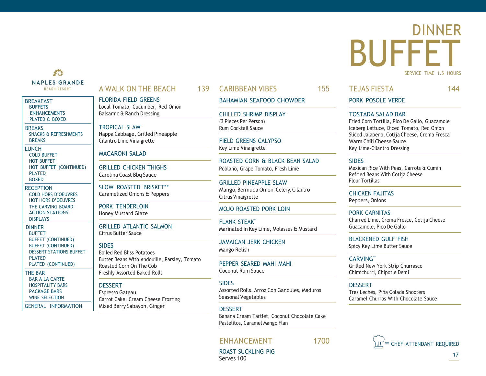### 香 **NAPLES GRANDE BEACH RESORT**

### **BREAKFAST BUFFFTS [ENHANCEMENTS](#page-2-0)** [PLATED](#page-3-0) & BOXED

**BREAKS** SNACKS & [REFRESHMENTS](#page-4-0) [BREAKS](#page-5-0)

LUNCH COLD [BUFFET](#page-6-0) HOT [BUFFET](#page-7-0) HOT BUFFET [\(CONTINUED\)](#page-8-0) [PLATED](#page-9-0) [BOXED](#page-10-0)

**RECEPTION** COLD HORS [D'OEUVRES](#page-11-0) HOT HORS [D'OEUVRES](#page-12-0) THE [CARVING](#page-13-0) BOARD [ACTION STATIONS](#page-14-0) [DISPLAYS](#page-15-0)

DINNER [BUFFET](#page-16-0) BUFFET [\(CONTINUED\)](#page-17-0) BUFFET [\(CONTINUED\)](#page-19-0) DESSERT [STATIONS](#page-19-0) BUFFET [PLATED](#page-20-0) PLATED [\(CONTINUED\)](#page-21-0)

THE BAR [BAR A LA CARTE](#page-22-0) [HOSPITALITY](#page-23-0) BARS [PACKAGE BARS](#page-24-0) WINE [SELECTION](#page-25-0)

GENERAL [INFORMATION](#page-26-0)

### <span id="page-16-0"></span>A WALK ON THE BEACH 139

FLORIDA FIELD GREENS Local Tomato, Cucumber, Red Onion Balsamic & Ranch Dressing

TROPICAL SLAW Nappa Cabbage, Grilled Pineapple Cilantro Lime Vinaigrette

### MACARONI SALAD

GRILLED CHICKEN THIGHS Carolina Coast Bbq Sauce

SLOW ROASTED BRISKET\*\* Caramelized Onions & Peppers

PORK TENDERLOIN Honey Mustard Glaze

GRILLED ATLANTIC SALMON Citrus Butter Sauce

### **SIDES**

Boiled Red Bliss Potatoes Butter Beans With Andouille, Parsley, Tomato Roasted Corn On The Cob Freshly Assorted Baked Rolls

### **DESSERT**

Espresso Gateau Carrot Cake, Cream Cheese Frosting Mixed Berry Sabayon, Ginger

### CARIBBEAN VIBES 155

### BAHAMIAN SEAFOOD CHOWDER

CHILLED SHRIMP DISPLAY (3 Pieces Per Person) Rum Cocktail Sauce

FIELD GREENS CALYPSO Key Lime Vinaigrette

ROASTED CORN & BLACK BEAN SALAD Poblano, Grape Tomato, Fresh Lime

GRILLED PINEAPPLE SLAW Mango, Bermuda Onion, Celery, Cilantro Citrus Vinaigrette

### MOJO ROASTED PORK LOIN

FLANK STEAK\*\* Marinated In Key Lime, Molasses & Mustard

JAMAICAN JERK CHICKEN Mango Relish

PEPPER SEARED MAHI MAHI Coconut Rum Sauce

### **SIDES**

Assorted Rolls, Arroz Con Gandules, Maduros Seasonal Vegetables

### DESSERT

Banana Cream Tartlet, Coconut Chocolate Cake Pastelitos, Caramel Mango Flan

### ENHANCEMENT 1700

### TEJAS FIESTA 144

DINNER

SERVICE TIME 1.5 HOURS

PORK POSOLE VERDE

### TOSTADA SALAD BAR

Fried Corn Tortilla, Pico De Gallo, Guacamole Iceberg Lettuce, Diced Tomato, Red Onion Sliced Jalapeno, Cotija Cheese, Crema Fresca Warm Chili Cheese Sauce Key Lime-Cilantro Dressing

BUFFET

**SIDES** 

Mexican Rice With Peas, Carrots & Cumin Refried Beans With Cotija Cheese Flour Tortillas

CHICKEN FAJITAS Peppers, Onions

PORK CARNITAS Charred Lime, Crema Fresce, Cotija Cheese Guacamole, Pico De Gallo

BLACKENED GULF FISH Spicy Key Lime Butter Sauce

CARVING\*\* Grilled New York Strip Churrasco Chimichurri, Chipotle Demi

DESSERT Tres Leches, Piña Colada Shooters Caramel Churros With Chocolate Sauce



ROAST SUCKLING PIG Serves 100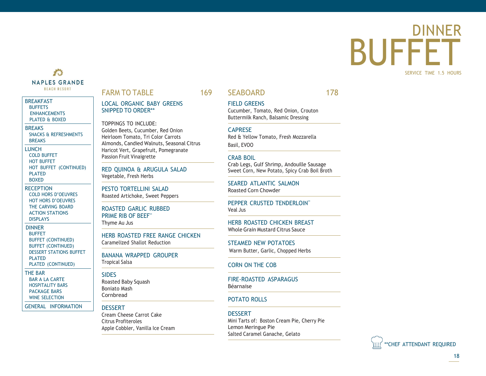### <span id="page-17-0"></span>DINNER BUFFET SERVICE TIME 1.5 HOURS

### 大头 **NAPLES GRANDE BEACH RESORT**

### BREAKFAST **[BUFFETS](#page-1-0)** [ENHANCEMENTS](#page-2-0) [PLATED](#page-3-0) & BOXED

**BREAKS** SNACKS & [REFRESHMENTS](#page-4-0) [BREAKS](#page-5-0) LUNCH COLD [BUFFET](#page-6-0)

HOT [BUFFET](#page-7-0) HOT BUFFET [\(CONTINUED\)](#page-8-0) [PLATED](#page-9-0) [BOXED](#page-10-0)

- **RECEPTION** COLD HORS [D'OEUVRES](#page-11-0) HOT HORS [D'OEUVRES](#page-12-0) THE [CARVING](#page-13-0) BOARD [ACTION STATIONS](#page-14-0) [DISPLAYS](#page-15-0)
- DINNER [BUFFET](#page-16-0) BUFFET [\(CONTINUED\)](#page-17-0) BUFFET [\(CONTINUED\)](#page-19-0) DESSERT [STATIONS](#page-19-0) BUFFET [PLATED](#page-20-0)

PLATED [\(CONTINUED\)](#page-21-0)

THE BAR [BAR A LA CARTE](#page-22-0) [HOSPITALITY](#page-23-0) BARS [PACKAGE BARS](#page-24-0) WINE [SELECTION](#page-25-0)

GENERAL [INFORMATION](#page-26-0)

### FARM TO TABLE 169

LOCAL ORGANIC BABY GREENS SNIPPED TO ORDER\*\*

TOPPINGS TO INCLUDE: Golden Beets, Cucumber, Red Onion Heirloom Tomato, Tri Color Carrots Almonds, Candied Walnuts, Seasonal Citrus Haricot Vert, Grapefruit, Pomegranate Passion Fruit Vinaigrette

RED QUINOA & ARUGULA SALAD Vegetable, Fresh Herbs

PESTO TORTELLINI SALAD Roasted Artichoke, Sweet Peppers

ROASTED GARLIC RUBBED PRIME RIB OF BEEF\*\* Thyme Au Jus

HERB ROASTED FREE RANGE CHICKEN Caramelized Shallot Reduction

BANANA WRAPPED GROUPER Tropical Salsa

### **SIDES**

Roasted Baby Squash Boniato Mash **Cornbread** 

### **DESSERT**

Cream Cheese Carrot Cake Citrus Profiteroles Apple Cobbler, Vanilla Ice Cream

### SEABOARD 178

FIELD GREENS

Cucumber, Tomato, Red Onion, Crouton Buttermilk Ranch, Balsamic Dressing

### CAPRESE

Red & Yellow Tomato, Fresh Mozzarella Basil, EVOO

### CRAB BOIL

Crab Legs, Gulf Shrimp, Andouille Sausage Sweet Corn, New Potato, Spicy Crab Boil Broth

SEARED ATLANTIC SALMON Roasted Corn Chowder

PEPPER CRUSTED TENDERLOIN\*\* Veal Jus

HERB ROASTED CHICKEN BREAST Whole Grain Mustard Citrus Sauce

STEAMED NEW POTATOES Warm Butter, Garlic, Chopped Herbs

### CORN ON THE COB

FIRE-ROASTED ASPARAGUS Béarnaise

### POTATO ROLLS

### **DESSERT**

Mini Tarts of: Boston Cream Pie, Cherry Pie Lemon Meringue Pie Salted Caramel Ganache, Gelato

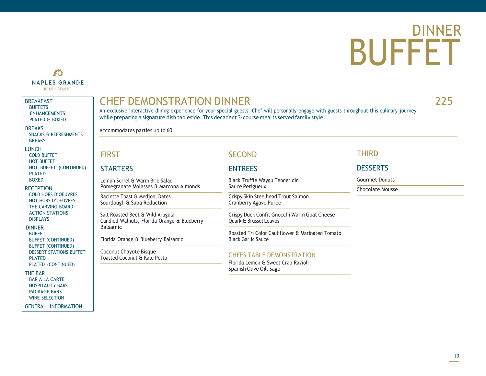## DINNER BUFFET

### 香 **NAPLES GRANDE BEACH RESORT**

BREAKFAST **[BUFFETS](#page-1-0)** [ENHANCEMENTS](#page-2-0) [PLATED](#page-3-0) & BOXED

**BREAKS** SNACKS & [REFRESHMENTS](#page-4-0) **[BREAKS](#page-5-0)** 

**LUNCH** COLD [BUFFET](#page-6-0) HOT [BUFFET](#page-7-0) HOT BUFFET [\(CONTINUED\)](#page-8-0) [PLATED](#page-9-0) [BOXED](#page-10-0)

**RECEPTION** COLD HORS [D'OEUVRES](#page-11-0) HOT HORS [D'OEUVRES](#page-12-0) THE [CARVING](#page-13-0) BOARD [ACTION STATIONS](#page-14-0) [DISPLAYS](#page-15-0)

DINNER **[BUFFET](#page-16-0)** BUFFET [\(CONTINUED\)](#page-17-0) BUFFET [\(CONTINUED\)](#page-19-0) DESSERT [STATIONS](#page-19-0) BUFFET [PLATED](#page-20-0) PLATED [\(CONTINUED\)](#page-21-0)

THE BAR [BAR A LA CARTE](#page-22-0)

[HOSPITALITY](#page-23-0) BARS [PACKAGE BARS](#page-24-0) WINE [SELECTION](#page-25-0)

GENERAL [INFORMATION](#page-26-0)

### CHEF DEMONSTRATION DINNER 225

An exclusive interactive dining experience for your special guests. Chef will personally engage with guests throughout this culinary journey while preparing a signature dish tableside. This decadent 3-course meal is served family style.

Accommodates parties up to 60

### **FIRST**

### **STARTERS**

Lemon Sorrel & Warm Brie Salad Pomegranate Molasses & Marcona Almonds

Raclette Toast & Medjool Dates Sourdough & Saba Reduction

Salt Roasted Beet & Wild Arugula Candied Walnuts, Florida Orange & Blueberry Balsamic

Florida Orange & Blueberry Balsamic

Coconut Chayote Bisque Toasted Coconut & Kale Pesto

### **SECOND**

### **FNTRFFS**

Black Truffle Waygu Tenderloin Sauce Perigueux

Crispy Skin Steelhead Trout Salmon Cranberry Agave Purée

Crispy Duck Confit Gnocchi Warm Goat Cheese Quark & Brussel Leaves

Roasted Tri Color Cauliflower & Marinated Tomato Black Garlic Sauce

### CHEFS TABLE DEMONSTRATION

Florida Lemon & Sweet Crab Ravioli Spanish Olive Oil, Sage

### THIRD

### **DESSERTS**

Gourmet Donuts

Chocolate Mousse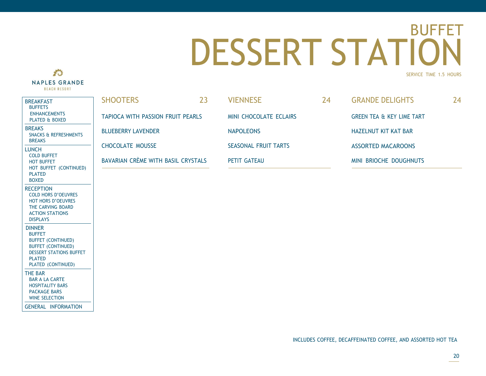### <span id="page-19-0"></span>DESSERT STATION BUFFET SERVICE TIME 1.5 HOURS



| <b>BREAKFAST</b><br><b>BUFFETS</b>                                                                                                                                | <b>SHOOTERS</b>                          | 23 | <b>VIENNESE</b>             | 24 | <b>GRANDE DELIGHTS</b>               | 24 |
|-------------------------------------------------------------------------------------------------------------------------------------------------------------------|------------------------------------------|----|-----------------------------|----|--------------------------------------|----|
| <b>ENHANCEMENTS</b><br>PLATED & BOXED                                                                                                                             | <b>TAPIOCA WITH PASSION FRUIT PEARLS</b> |    | MINI CHOCOLATE ECLAIRS      |    | <b>GREEN TEA &amp; KEY LIME TART</b> |    |
| <b>BREAKS</b><br>SNACKS & REFRESHMENTS                                                                                                                            | <b>BLUEBERRY LAVENDER</b>                |    | <b>NAPOLEONS</b>            |    | <b>HAZELNUT KIT KAT BAR</b>          |    |
| <b>BREAKS</b><br><b>LUNCH</b>                                                                                                                                     | <b>CHOCOLATE MOUSSE</b>                  |    | <b>SEASONAL FRUIT TARTS</b> |    | <b>ASSORTED MACAROONS</b>            |    |
| <b>COLD BUFFET</b><br><b>HOT BUFFET</b><br>HOT BUFFET (CONTINUED)<br><b>PLATED</b><br><b>BOXED</b>                                                                | BAVARIAN CRÈME WITH BASIL CRYSTALS       |    | PETIT GATEAU                |    | MINI BRIOCHE DOUGHNUTS               |    |
| <b>RECEPTION</b><br><b>COLD HORS D'OEUVRES</b><br><b>HOT HORS D'OEUVRES</b><br>THE CARVING BOARD<br><b>ACTION STATIONS</b><br><b>DISPLAYS</b>                     |                                          |    |                             |    |                                      |    |
| <b>DINNER</b><br><b>BUFFET</b><br><b>BUFFET (CONTINUED)</b><br><b>BUFFET (CONTINUED)</b><br><b>DESSERT STATIONS BUFFET</b><br><b>PLATED</b><br>PLATED (CONTINUED) |                                          |    |                             |    |                                      |    |
| THE BAR<br><b>BAR A LA CARTE</b><br><b>HOSPITALITY BARS</b><br><b>PACKAGE BARS</b><br><b>WINE SELECTION</b>                                                       |                                          |    |                             |    |                                      |    |
| <b>GENERAL INFORMATION</b>                                                                                                                                        |                                          |    |                             |    |                                      |    |

### INCLUDES COFFEE, DECAFFEINATED COFFEE, AND ASSORTED HOT TEA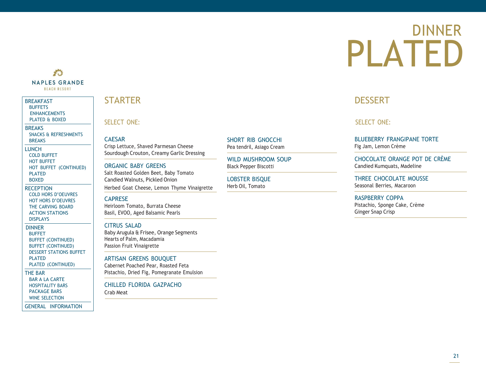# DINNER PLATED

### **THE NAPLES GRANDE BEACH RESORT**

### BREAKFAST [BUFFETS](#page-1-0)

[ENHANCEMENTS](#page-2-0) [PLATED](#page-3-0) & BOXED

**BREAKS** 

SNACKS & [REFRESHMENTS](#page-4-0) [BREAKS](#page-5-0)

**LUNCH** COLD [BUFFET](#page-6-0) HOT [BUFFET](#page-7-0) HOT BUFFET [\(CONTINUED\)](#page-8-0) [PLATED](#page-9-0) [BOXED](#page-10-0)

**RECEPTION** COLD HORS [D'OEUVRES](#page-11-0) HOT HORS [D'OEUVRES](#page-12-0) THE [CARVING](#page-13-0) BOARD [ACTION STATIONS](#page-14-0) [DISPLAYS](#page-15-0)

DINNER [BUFFET](#page-16-0) BUFFET [\(CONTINUED\)](#page-17-0) BUFFET [\(CONTINUED\)](#page-19-0) DESSERT [STATIONS](#page-19-0) BUFFET [PLATED](#page-20-0) PLATED [\(CONTINUED\)](#page-21-0)

THE BAR [BAR A LA CARTE](#page-22-0) [HOSPITALITY](#page-23-0) BARS [PACKAGE BARS](#page-24-0) WINE [SELECTION](#page-25-0)

GENERAL [INFORMATION](#page-26-0)

### <span id="page-20-0"></span>**STARTER**

SELECT ONE:

CAESAR

Crisp Lettuce, Shaved Parmesan Cheese Sourdough Crouton, Creamy Garlic Dressing

ORGANIC BABY GREENS Salt Roasted Golden Beet, Baby Tomato Candied Walnuts, Pickled Onion

Herbed Goat Cheese, Lemon Thyme Vinaigrette

### CAPRESE

Heirloom Tomato, Burrata Cheese Basil, EVOO, Aged Balsamic Pearls

### CITRUS SALAD

Baby Arugula & Frisee, Orange Segments Hearts of Palm, Macadamia Passion Fruit Vinaigrette

### ARTISAN GREENS BOUQUET

Cabernet Poached Pear, Roasted Feta Pistachio, Dried Fig, Pomegranate Emulsion

CHILLED FLORIDA GAZPACHO

Crab Meat

SHORT RIB GNOCCHI Pea tendril, Asiago Cream

WILD MUSHROOM SOUP Black Pepper Biscotti

LOBSTER BISQUE Herb Oil, Tomato

### **DESSERT**

SELECT ONE:

BLUEBERRY FRANGIPANE TORTE Fig Jam, Lemon Crème

CHOCOLATE ORANGE POT DE CRÈME Candied Kumquats, Madeline

THREE CHOCOLATE MOUSSE Seasonal Berries, Macaroon

RASPBERRY COPPA Pistachio, Sponge Cake, Crème Ginger Snap Crisp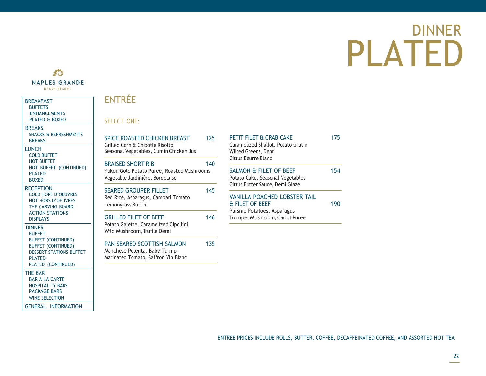# DINNER PLATED

### 香 **NAPLES GRANDE BEACH RESORT**

### BREAKFAST [BUFFETS](#page-1-0) [ENHANCEMENTS](#page-2-0) [PLATED](#page-3-0) & BOXED

**BREAKS** SNACKS & [REFRESHMENTS](#page-4-0) [BREAKS](#page-5-0) **LUNCH** COLD [BUFFET](#page-6-0)

HOT [BUFFET](#page-7-0) HOT BUFFET [\(CONTINUED\)](#page-8-0) [PLATED](#page-9-0) [BOXED](#page-10-0)

**RECEPTION** COLD HORS [D'OEUVRES](#page-11-0) HOT HORS [D'OEUVRES](#page-12-0) THE [CARVING](#page-13-0) BOARD [ACTION STATIONS](#page-14-0) [DISPLAYS](#page-15-0)

DINNER [BUFFET](#page-16-0) BUFFET [\(CONTINUED\)](#page-17-0) BUFFET [\(CONTINUED\)](#page-19-0) DESSERT [STATIONS](#page-19-0) BUFFET [PLATED](#page-20-0) PLATED [\(CONTINUED\)](#page-21-0)

### THE BAR [BAR A LA CARTE](#page-22-0)

[HOSPITALITY](#page-23-0) BARS [PACKAGE BARS](#page-24-0) WINE [SELECTION](#page-25-0)

GENERAL [INFORMATION](#page-26-0)

### <span id="page-21-0"></span>ENTRÉE

SELECT ONE:

| SPICE ROASTED CHICKEN BREAST<br>Grilled Corn & Chipotle Risotto<br>Seasonal Vegetables, Cumin Chicken Jus  | 125 |
|------------------------------------------------------------------------------------------------------------|-----|
| <b>BRAISED SHORT RIB</b><br>Yukon Gold Potato Puree, Roasted Mushrooms<br>Vegetable Jardinière, Bordelaise | 140 |
| <b>SEARED GROUPER FILLET</b><br>Red Rice, Asparagus, Campari Tomato<br>Lemongrass Butter                   | 145 |
| <b>GRILLED FILET OF BEEF</b>                                                                               |     |

Potato Galette, Caramelized Cipollini Wild Mushroom, Truffle Demi

PAN SEARED SCOTTISH SALMON 135 Manchese Polenta, Baby Turnip Marinated Tomato, Saffron Vin Blanc

### PETIT FILET & CRAB CAKE 175 Caramelized Shallot, Potato Gratin

Wilted Greens, Demi Citrus Beurre Blanc

### SALMON & FILET OF BEEF 154 Potato Cake, Seasonal Vegetables Citrus Butter Sauce, Demi Glaze

VANILLA POACHED LOBSTER TAIL & FILET OF BEEF 190 Parsnip Potatoes, Asparagus Trumpet Mushroom, Carrot Puree

ENTRÉE PRICES INCLUDE ROLLS, BUTTER, COFFEE, DECAFFEINATED COFFEE, AND ASSORTED HOT TEA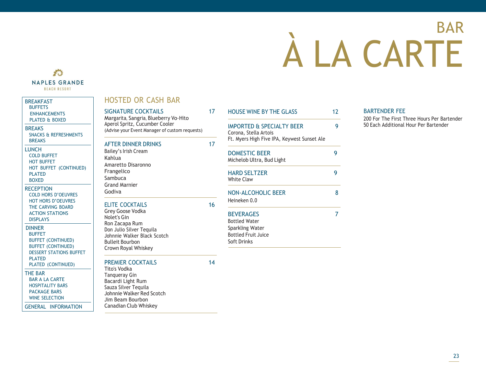# BAR À LA CARTE

### <span id="page-22-0"></span>香 **NAPLES GRANDE BEACH RESORT**

**BREAKFAST** [BUFFETS](#page-1-0) [ENHANCEMENTS](#page-2-0) [PLATED](#page-3-0) & BOXED

**BREAKS** 

[BREAKS](#page-5-0) **LUNCH** COLD [BUFFET](#page-6-0) HOT [BUFFET](#page-7-0)

[PLATED](#page-9-0) [BOXED](#page-10-0) **RECEPTION** 

[PLATED](#page-20-0)

THE BAR

[BAR A LA CARTE](#page-22-0) [HOSPITALITY](#page-23-0) BARS [PACKAGE BARS](#page-24-0) WINE [SELECTION](#page-25-0)

[ACTION STATIONS](#page-14-0) [DISPLAYS](#page-15-0) DINNER [BUFFET](#page-16-0)

### HOSTED OR CASH BAR SIGNATURE COCKTAILS 17 Margarita, Sangria, Blueberry Vo-Hito Aperol Spritz, Cucumber Cooler (Advise your Event Manager of custom requests) AFTER DINNER DRINKS 17 Bailey's Irish Cream Kahlua Amaretto Disaronno Frangelico Sambuca Grand Marnier Godiva ELITE COCKTAILS 16 Grey Goose Vodka Nolet's Gin Ron Zacapa Rum Don Julio Silver Tequila Johnnie Walker Black Scotch Bulleit Bourbon Crown Royal Whiskey PREMIER COCKTAILS 14 Tito's Vodka Tanqueray Gin Bacardi Light Rum Sauza Silver Tequila Johnnie Walker Red Scotch Jim Beam Bourbon Canadian Club Whiskey SNACKS & [REFRESHMENTS](#page-4-0) HOT BUFFET [\(CONTINUED\)](#page-8-0) COLD HORS [D'OEUVRES](#page-11-0) HOT HORS [D'OEUVRES](#page-12-0) THE [CARVING](#page-13-0) BOARD BUFFET [\(CONTINUED\)](#page-17-0) BUFFET [\(CONTINUED\)](#page-19-0) DESSERT [STATIONS](#page-19-0) BUFFET PLATED [\(CONTINUED\)](#page-21-0) GENERAL [INFORMATION](#page-26-0)

### HOUSE WINE BY THE GLASS 12 IMPORTED & SPECIALTY BEER 9 Corona, Stella Artois Ft. Myers High Five IPA, Keywest Sunset Ale DOMESTIC BEER 9 Michelob Ultra, Bud Light HARD SELTZER 9 White Claw NON-ALCOHOLIC BEER 8 Heineken 0.0 BEVERAGES 7 Bottled Water Sparkling Water Bottled Fruit Juice Soft Drinks

### BARTENDER FEE

200 For The First Three Hours Per Bartender 50 Each Additional Hour Per Bartender

23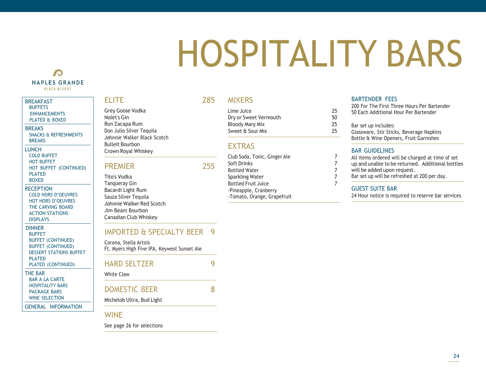# <span id="page-23-0"></span>HOSPITALITY BARS

### 香 **NAPLES GRANDE BEACH RESORT**

### **BREAKFAST [BUFFETS](#page-1-0)** [ENHANCEMENTS](#page-2-0) [PLATED](#page-3-0) & BOXED **BREAKS** SNACKS & [REFRESHMENTS](#page-4-0) [BREAKS](#page-5-0) **LUNCH** COLD [BUFFET](#page-6-0) HOT [BUFFET](#page-7-0) HOT BUFFET [\(CONTINUED\)](#page-8-0) [PLATED](#page-9-0) [BOXED](#page-10-0)

**RECEPTION** COLD HORS [D'OEUVRES](#page-11-0) HOT HORS [D'OEUVRES](#page-12-0) THE [CARVING](#page-13-0) BOARD [ACTION STATIONS](#page-14-0) [DISPLAYS](#page-15-0)

DINNER [BUFFET](#page-16-0) BUFFET [\(CONTINUED\)](#page-17-0) BUFFET [\(CONTINUED\)](#page-19-0) DESSERT [STATIONS](#page-19-0) BUFFET **[PLATED](#page-20-0)** PLATED [\(CONTINUED\)](#page-21-0)

### THE BAR [BAR A LA CARTE](#page-22-0)

[HOSPITALITY](#page-23-0) BARS [PACKAGE BARS](#page-24-0) WINE [SELECTION](#page-25-0)

GENERAL [INFORMATION](#page-26-0)

### ELITE 285

Grey Goose Vodka Nolet's Gin Ron Zacapa Rum Don Julio Silver Tequila Johnnie Walker Black Scotch Bulleit Bourbon Crown Royal Whiskey

### PREMIER 255

Tito's Vodka Tanqueray Gin Bacardi Light Rum Sauza Silver Tequila Johnnie Walker Red Scotch Jim Beam Bourbon Canadian Club Whiskey

### IMPORTED & SPECIALTY BEER 9

Corona, Stella Artois Ft. Myers High Five IPA, Keywest Sunset Ale

### HARD SELTZER 9 White Claw

### DOMESTIC BEER 8

Michelob Ultra, Bud Light

### WINE

See page 26 for selections

### MIXERS

Lime Juice 25 Dry or Sweet Vermouth 50 Bloody Mary Mix 25 Sweet & Sour Mix 25

### **FXTRAS**

Club Soda, Tonic, Ginger Ale 7 Soft Drinks 7 Bottled Water 7 Sparkling Water 7 Bottled Fruit Juice 7 -Pineapple, Cranberry -Tomato, Orange, Grapefruit

### BARTENDER FEES

200 For The First Three Hours Per Bartender 50 Each Additional Hour Per Bartender

Bar set up includes: Glassware, Stir Sticks, Beverage Napkins

Bottle & Wine Openers, Fruit Garnishes

### BAR GUIDELINES

All items ordered will be charged at time of set

- up and unable to be returned. Additional bottles
- will be added upon request.
- Bar set up will be refreshed at 200 per day.

### GUEST SUITE BAR

24 Hour notice is required to reserve bar services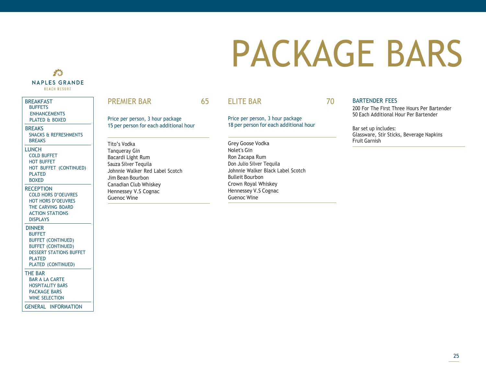# <span id="page-24-0"></span>PACKAGE BARS



### **BREAKFAST** [BUFFETS](#page-1-0) [ENHANCEMENTS](#page-2-0) [PLATED](#page-3-0) & BOXED

**BREAKS** SNACKS & [REFRESHMENTS](#page-4-0) [BREAKS](#page-5-0)

**LUNCH** 

### COLD [BUFFET](#page-6-0) HOT [BUFFET](#page-7-0) HOT BUFFET [\(CONTINUED\)](#page-8-0) [PLATED](#page-9-0)

[BOXED](#page-10-0)

### **RECEPTION** COLD HORS [D'OEUVRES](#page-11-0) HOT HORS [D'OEUVRES](#page-12-0) THE [CARVING](#page-13-0) BOARD [ACTION STATIONS](#page-14-0) [DISPLAYS](#page-15-0)

DINNER

[BUFFET](#page-16-0) BUFFET [\(CONTINUED\)](#page-17-0) BUFFET [\(CONTINUED\)](#page-19-0) DESSERT [STATIONS](#page-19-0) BUFFET [PLATED](#page-20-0) PLATED [\(CONTINUED\)](#page-21-0)

### THE BAR

[BAR A LA CARTE](#page-22-0) [HOSPITALITY](#page-23-0) BARS [PACKAGE BARS](#page-24-0)

WINE [SELECTION](#page-25-0)

GENERAL [INFORMATION](#page-26-0)

### PREMIER BAR 65

Price per person, 3 hour package 15 per person for each additional hour

Tito's Vodka Tanqueray Gin Bacardi Light Rum Sauza Silver Tequila Johnnie Walker Red Label Scotch Jim Bean Bourbon Canadian Club Whiskey Hennessey V.S Cognac Guenoc Wine

### ELITE BAR 70

Price per person, 3 hour package 18 per person for each additional hour

Grey Goose Vodka Nolet's Gin Ron Zacapa Rum Don Julio Silver Tequila Johnnie Walker Black Label Scotch Bulleit Bourbon Crown Royal Whiskey Hennessey V.S Cognac Guenoc Wine

BARTENDER FEES

200 For The First Three Hours Per Bartender 50 Each Additional Hour Per Bartender

Bar set up includes: Glassware, Stir Sticks, Beverage Napkins Fruit Garnish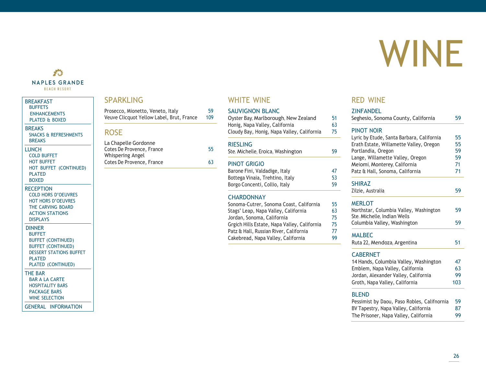# <span id="page-25-0"></span>WINE

### 香 **NAPLES GRANDE BEACH RESORT**

### BREAKFAST **[BUFFETS](#page-1-0)**

[ENHANCEMENTS](#page-2-0) [PLATED](#page-3-0) & BOXED

### **BREAKS**

SNACKS & [REFRESHMENTS](#page-4-0) [BREAKS](#page-5-0)

### LUNCH COLD [BUFFET](#page-6-0) HOT [BUFFET](#page-7-0) HOT BUFFET [\(CONTINUED\)](#page-8-0) [PLATED](#page-9-0) [BOXED](#page-10-0)

### **RECEPTION**

COLD HORS [D'OEUVRES](#page-11-0) HOT HORS [D'OEUVRES](#page-12-0) THE [CARVING](#page-13-0) BOARD [ACTION STATIONS](#page-14-0) [DISPLAYS](#page-15-0)

### DINNER

[BUFFET](#page-16-0) BUFFET [\(CONTINUED\)](#page-17-0) BUFFET [\(CONTINUED\)](#page-19-0) DESSERT [STATIONS](#page-19-0) BUFFET [PLATED](#page-20-0)

### PLATED [\(CONTINUED\)](#page-21-0)

THE BAR

- [BAR A LA CARTE](#page-22-0) [HOSPITALITY](#page-23-0) BARS
- [PACKAGE BARS](#page-24-0) WINE [SELECTION](#page-25-0)

### GENERAL [INFORMATION](#page-26-0)

### SPARKLING

| Prosecco, Mionetto, Veneto, Italy         | 59  |
|-------------------------------------------|-----|
| Veuve Clicquot Yellow Label, Brut, France | 109 |

### ROSE

| La Chapelle Gordonne      |    |
|---------------------------|----|
| Cotes De Provence, France | 55 |
| Whispering Angel          |    |
| Cotes De Provence, France | 63 |

### WHITE WINE

### SAUVIGNON BLANC

| Oyster Bay, Marlborough, New Zealand       | 51 |
|--------------------------------------------|----|
| Honig, Napa Valley, California             | 63 |
| Cloudy Bay, Honig, Napa Valley, California | 75 |

### **RIFSLING**

Ste. Michelle, Eroica, Washington 59

### PINOT GRIGIO

| Barone Fini, Valdadige, Italy   | 47 |
|---------------------------------|----|
| Bottega Vinaia, Trehtino, Italy | 53 |
| Borgo Concenti, Collio, Italy   | 59 |

### **CHARDONNAY**

| Sonoma-Cutrer, Sonoma Coast, California      | 55 |
|----------------------------------------------|----|
| Stags' Leap, Napa Valley, California         | 63 |
| Jordan, Sonoma, California                   | 75 |
| Grgich Hills Estate, Napa Valley, California | 75 |
| Patz & Hall, Russian River, California       | 77 |
| Cakebread, Napa Valley, California           | 99 |

### RED WINE

### **ZINFANDEL** Seghesio, Sonoma County, California 59 PINOT NOIR Lyric by Etude, Santa Barbara, California 55 Erath Estate, Willamette Valley, Oregon 55 Portlandia, Oregon 59 Lange, Willamette Valley, Oregon 59 Meiomi, Monterey, California (m. 1944)<br>Patz & Hall, Sonoma, California (m. 1944) Patz & Hall, Sonoma, California **SHIRAZ** Zilzie, Australia 59 **MERLOT** Northstar, Columbia Valley, Washington 59 Ste. Michelle, Indian Wells Columbia Valley, Washington 59 MALBEC Ruta 22, Mendoza, Argentina 51 **CABERNET** 14 Hands, Columbia Valley, Washington 47 Emblem, Napa Valley, California 63 Jordan, Alexander Valley, California 99 Groth, Napa Valley, California 103

### BLEND

| Pessimist by Daou, Paso Robles, Califnornia | 59  |
|---------------------------------------------|-----|
| BV Tapestry, Napa Valley, California        | 87. |
| The Prisoner, Napa Valley, California       | 99. |